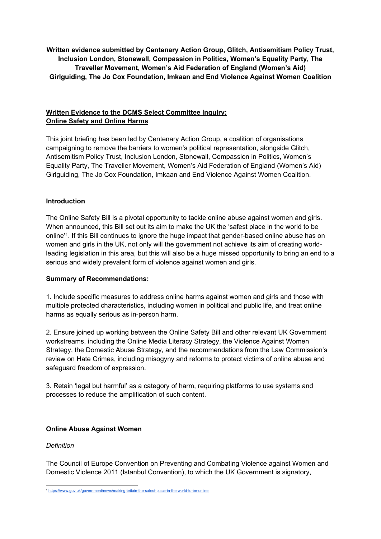**Written evidence submitted by Centenary Action Group, Glitch, Antisemitism Policy Trust, Inclusion London, Stonewall, Compassion in Politics, Women's Equality Party, The Traveller Movement, Women's Aid Federation of England (Women's Aid) Girlguiding, The Jo Cox Foundation, Imkaan and End Violence Against Women Coalition**

## **Written Evidence to the DCMS Select Committee Inquiry: Online Safety and Online Harms**

This joint briefing has been led by Centenary Action Group, a coalition of organisations campaigning to remove the barriers to women's political representation, alongside Glitch, Antisemitism Policy Trust, Inclusion London, Stonewall, Compassion in Politics, Women's Equality Party, The Traveller Movement, Women's Aid Federation of England (Women's Aid) Girlguiding, The Jo Cox Foundation, Imkaan and End Violence Against Women Coalition.

## **Introduction**

The Online Safety Bill is a pivotal opportunity to tackle online abuse against women and girls. When announced, this Bill set out its aim to make the UK the 'safest place in the world to be online'<sup>1</sup> . If this Bill continues to ignore the huge impact that gender-based online abuse has on women and girls in the UK, not only will the government not achieve its aim of creating worldleading legislation in this area, but this will also be a huge missed opportunity to bring an end to a serious and widely prevalent form of violence against women and girls.

### **Summary of Recommendations:**

1. Include specific measures to address online harms against women and girls and those with multiple protected characteristics, including women in political and public life, and treat online harms as equally serious as in-person harm.

2. Ensure joined up working between the Online Safety Bill and other relevant UK Government workstreams, including the Online Media Literacy Strategy, the Violence Against Women Strategy, the Domestic Abuse Strategy, and the recommendations from the Law Commission's review on Hate Crimes, including misogyny and reforms to protect victims of online abuse and safeguard freedom of expression.

3. Retain 'legal but harmful' as a category of harm, requiring platforms to use systems and processes to reduce the amplification of such content.

## **Online Abuse Against Women**

### *Definition*

The Council of Europe Convention on Preventing and Combating Violence against Women and Domestic Violence 2011 (Istanbul Convention), to which the UK Government is signatory,

<sup>1</sup> <https://www.gov.uk/government/news/making-britain-the-safest-place-in-the-world-to-be-online>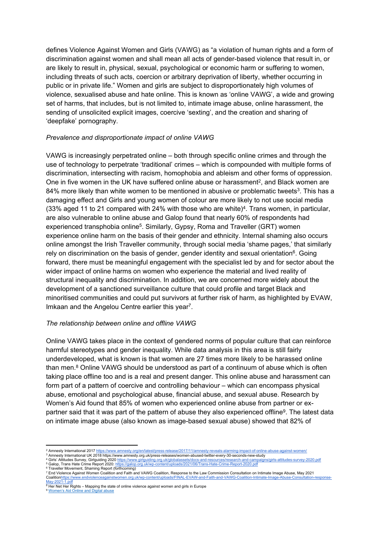defines Violence Against Women and Girls (VAWG) as "a violation of human rights and a form of discrimination against women and shall mean all acts of gender-based violence that result in, or are likely to result in, physical, sexual, psychological or economic harm or suffering to women, including threats of such acts, coercion or arbitrary deprivation of liberty, whether occurring in public or in private life." Women and girls are subject to disproportionately high volumes of violence, sexualised abuse and hate online. This is known as 'online VAWG', a wide and growing set of harms, that includes, but is not limited to, intimate image abuse, online harassment, the sending of unsolicited explicit images, coercive 'sexting', and the creation and sharing of 'deepfake' pornography.

#### *Prevalence and disproportionate impact of online VAWG*

VAWG is increasingly perpetrated online – both through specific online crimes and through the use of technology to perpetrate 'traditional' crimes – which is compounded with multiple forms of discrimination, intersecting with racism, homophobia and ableism and other forms of oppression. One in five women in the UK have suffered online abuse or harassment<sup>2</sup>, and Black women are 84% more likely than white women to be mentioned in abusive or problematic tweets<sup>3</sup>. This has a damaging effect and Girls and young women of colour are more likely to not use social media  $(33\%$  aged 11 to 21 compared with 24% with those who are white)<sup>4</sup>. Trans women, in particular, are also vulnerable to online abuse and Galop found that nearly 60% of respondents had experienced transphobia online<sup>5</sup>. Similarly, Gypsy, Roma and Traveller (GRT) women experience online harm on the basis of their gender and ethnicity. Internal shaming also occurs online amongst the Irish Traveller community, through social media 'shame pages,' that similarly rely on discrimination on the basis of gender, gender identity and sexual orientation<sup>6</sup>. Going forward, there must be meaningful engagement with the specialist led by and for sector about the wider impact of online harms on women who experience the material and lived reality of structural inequality and discrimination. In addition, we are concerned more widely about the development of a sanctioned surveillance culture that could profile and target Black and minoritised communities and could put survivors at further risk of harm, as highlighted by EVAW, Imkaan and the Angelou Centre earlier this year<sup>7</sup>.

#### *The relationship between online and offline VAWG*

Online VAWG takes place in the context of gendered norms of popular culture that can reinforce harmful stereotypes and gender inequality. While data analysis in this area is still fairly underdeveloped, what is known is that women are 27 times more likely to be harassed online than men.<sup>8</sup> Online VAWG should be understood as part of a continuum of abuse which is often taking place offline too and is a real and present danger. This online abuse and harassment can form part of a pattern of coercive and controlling behaviour – which can encompass physical abuse, emotional and psychological abuse, financial abuse, and sexual abuse. Research by Women's Aid found that 85% of women who experienced online abuse from partner or expartner said that it was part of the pattern of abuse they also experienced offline<sup>9</sup>. The latest data on intimate image abuse (also known as image-based sexual abuse) showed that 82% of

<sup>8</sup> Her Net Her Rights – Mapping the state of online violence against women and girls in Europe <sup>9</sup> [Women's](https://www.womensaid.org.uk/information-support/what-is-domestic-abuse/onlinesafety/) [Aid](https://www.womensaid.org.uk/information-support/what-is-domestic-abuse/onlinesafety/) [Online](https://www.womensaid.org.uk/information-support/what-is-domestic-abuse/onlinesafety/) [and](https://www.womensaid.org.uk/information-support/what-is-domestic-abuse/onlinesafety/) [Digital](https://www.womensaid.org.uk/information-support/what-is-domestic-abuse/onlinesafety/) [abuse](https://www.womensaid.org.uk/information-support/what-is-domestic-abuse/onlinesafety/)

<sup>&</sup>lt;sup>2</sup> Amnesty International 2017 <https://www.amnesty.org/en/latest/press-release/2017/11/amnesty-reveals-alarming-impact-of-online-abuse-against-women/>

<sup>3</sup> Amnesty International UK 2018 https://www.amnesty.org.uk/press-releases/women-abused-twitter-every-30-seconds-new-study

<sup>&</sup>lt;sup>4</sup> Girls' Attitudes Survey, Girlguiding 2020 <u><https://www.girlguiding.org.uk/globalassets/docs-and-resources/research-and-campaigns/girls-attitudes-survey-2020.pdf><br><sup>5</sup> Galop, Trans Hate Crime Report 2020: <u>https://galop.o</u></u>

<sup>6</sup> Traveller Movement, Shaming Report (forthcoming)

<sup>7</sup> End Violence Against Women Coalition and Faith and VAWG Coalition, Response to the Law Commission Consultation on Intimate Image Abuse, May 2021 Coalitio[nhttps://www.endviolenceagainstwomen.org.uk/wp-content/uploads/FINAL-EVAW-and-Faith-and-VAWG-Coalition-Intimate-Image-Abuse-Consultation-response-](https://www.endviolenceagainstwomen.org.uk/wp-content/uploads/FINAL-EVAW-and-Faith-and-VAWG-Coalition-Intimate-Image-Abuse-Consultation-response-May-2021-1.pdf)[May-2021-1.pdf](https://www.endviolenceagainstwomen.org.uk/wp-content/uploads/FINAL-EVAW-and-Faith-and-VAWG-Coalition-Intimate-Image-Abuse-Consultation-response-May-2021-1.pdf)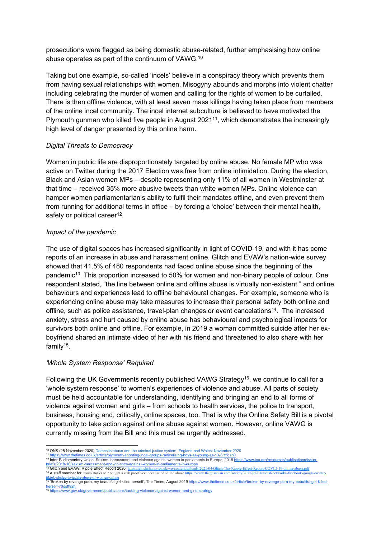prosecutions were flagged as being domestic abuse-related, further emphasising how online abuse operates as part of the continuum of VAWG.<sup>10</sup>

Taking but one example, so-called 'incels' believe in a conspiracy theory which prevents them from having sexual relationships with women. Misogyny abounds and morphs into violent chatter including celebrating the murder of women and calling for the rights of women to be curtailed. There is then offline violence, with at least seven mass killings having taken place from members of the online incel community. The incel internet subculture is believed to have motivated the Plymouth gunman who killed five people in August 2021<sup>11</sup>, which demonstrates the increasingly high level of danger presented by this online harm.

### *Digital Threats to Democracy*

Women in public life are disproportionately targeted by online abuse. No female MP who was active on Twitter during the 2017 Election was free from online intimidation. During the election, Black and Asian women MPs – despite representing only 11% of all women in Westminster at that time – received 35% more abusive tweets than white women MPs. Online violence can hamper women parliamentarian's ability to fulfil their mandates offline, and even prevent them from running for additional terms in office – by forcing a 'choice' between their mental health, safety or political career<sup>12</sup>.

### *Impact of the pandemic*

The use of digital spaces has increased significantly in light of COVID-19, and with it has come reports of an increase in abuse and harassment online. Glitch and EVAW's nation-wide survey showed that 41.5% of 480 respondents had faced online abuse since the beginning of the pandemic<sup>13</sup>. This proportion increased to 50% for women and non-binary people of colour. One respondent stated, "the line between online and offline abuse is virtually non-existent." and online behaviours and experiences lead to offline behavioural changes. For example, someone who is experiencing online abuse may take measures to increase their personal safety both online and offline, such as police assistance, travel-plan changes or event cancelations<sup>14</sup>. The increased anxiety, stress and hurt caused by online abuse has behavioural and psychological impacts for survivors both online and offline. For example, in 2019 a woman committed suicide after her exboyfriend shared an intimate video of her with his friend and threatened to also share with her family<sup>15</sup>.

### *'Whole System Response' Required*

Following the UK Governments recently published VAWG Strategy<sup>16</sup>, we continue to call for a 'whole system response' to women's experiences of violence and abuse. All parts of society must be held accountable for understanding, identifying and bringing an end to all forms of violence against women and girls – from schools to health services, the police to transport, business, housing and, critically, online spaces, too. That is why the Online Safety Bill is a pivotal opportunity to take action against online abuse against women. However, online VAWG is currently missing from the Bill and this must be urgently addressed.

<sup>&</sup>lt;sup>10</sup> ONS (25 November 2020) [Domestic](https://www.ons.gov.uk/peoplepopulationandcommunity/crimeandjustice/articles/domesticabuseandthecriminaljusticesystemenglandandwales/november2020) [abuse](https://www.ons.gov.uk/peoplepopulationandcommunity/crimeandjustice/articles/domesticabuseandthecriminaljusticesystemenglandandwales/november2020) [and](https://www.ons.gov.uk/peoplepopulationandcommunity/crimeandjustice/articles/domesticabuseandthecriminaljusticesystemenglandandwales/november2020) [the](https://www.ons.gov.uk/peoplepopulationandcommunity/crimeandjustice/articles/domesticabuseandthecriminaljusticesystemenglandandwales/november2020) [criminal](https://www.ons.gov.uk/peoplepopulationandcommunity/crimeandjustice/articles/domesticabuseandthecriminaljusticesystemenglandandwales/november2020) [justice](https://www.ons.gov.uk/peoplepopulationandcommunity/crimeandjustice/articles/domesticabuseandthecriminaljusticesystemenglandandwales/november2020) [system,](https://www.ons.gov.uk/peoplepopulationandcommunity/crimeandjustice/articles/domesticabuseandthecriminaljusticesystemenglandandwales/november2020) [England](https://www.ons.gov.uk/peoplepopulationandcommunity/crimeandjustice/articles/domesticabuseandthecriminaljusticesystemenglandandwales/november2020) and [Wales:](https://www.ons.gov.uk/peoplepopulationandcommunity/crimeandjustice/articles/domesticabuseandthecriminaljusticesystemenglandandwales/november2020) [November](https://www.ons.gov.uk/peoplepopulationandcommunity/crimeandjustice/articles/domesticabuseandthecriminaljusticesystemenglandandwales/november2020) [2020](https://www.ons.gov.uk/peoplepopulationandcommunity/crimeandjustice/articles/domesticabuseandthecriminaljusticesystemenglandandwales/november2020) <sup>11</sup> <https://www.thetimes.co.uk/article/plymouth-shooting-incel-groups-radicalising-boys-as-young-as-13-8jzffqzn0>

<sup>12</sup> Inter-Parliamentary Union, Sexism, harassment and violence against women in parliaments in Europe, 2018 [https://www.ipu.org/resources/publications/issue-](https://www.ipu.org/resources/publications/issue-briefs/2018-10/sexism-harassment-and-violence-against-women-in-parliaments-in-europe)

<sup>&</sup>lt;u>[briefs/2018-10/sexism-harassment-and-violence-against-women-in-parliaments-in-europe](https://www.ipu.org/resources/publications/issue-briefs/2018-10/sexism-harassment-and-violence-against-women-in-parliaments-in-europe)</u><br>13 **Glitch and EVAW, Ripple Effect Report 2020:** https://glitchcharity.co.uk/wp-content/uploads/2021/04/Glitch-The-Ripple-Effect-Report

<sup>14</sup> A staff member for Dawn Butler MP bought a stab proof vest because of online abuse https://www.theguardian.com/society/2021/jul/01/social-networks-facebook-google-twitter-<br><sup>14</sup> A staff member for Dawn Butler MP bought a

[tiktok-pledge-to-tackle-abuse-of-women-online](https://www.theguardian.com/society/2021/jul/01/social-networks-facebook-google-twitter-tiktok-pledge-to-tackle-abuse-of-women-online) <sup>15</sup> 'Broken by revenge porn, my beautiful girl killed herself', The Times, August 2019 [https://www.thetimes.co.uk/article/broken-by-revenge-porn-my-beautiful-girl-killed](https://www.thetimes.co.uk/article/broken-by-revenge-porn-my-beautiful-girl-killed-herself-70dsff92h)[herself-70dsff92h](https://www.thetimes.co.uk/article/broken-by-revenge-porn-my-beautiful-girl-killed-herself-70dsff92h)

<https://www.gov.uk/government/publications/tackling-violence-against-women-and-girls-strategy>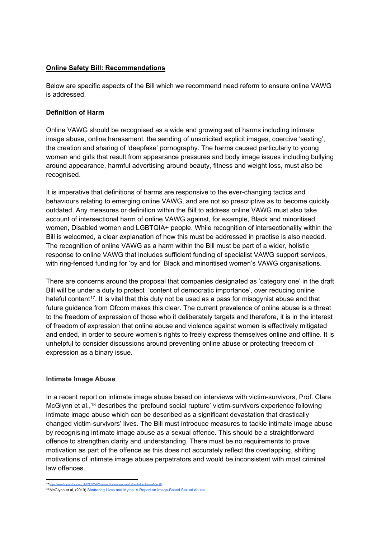### **Online Safety Bill: Recommendations**

Below are specific aspects of the Bill which we recommend need reform to ensure online VAWG is addressed.

### **Definition of Harm**

Online VAWG should be recognised as a wide and growing set of harms including intimate image abuse, online harassment, the sending of unsolicited explicit images, coercive 'sexting', the creation and sharing of 'deepfake' pornography. The harms caused particularly to young women and girls that result from appearance pressures and body image issues including bullying around appearance, harmful advertising around beauty, fitness and weight loss, must also be recognised.

It is imperative that definitions of harms are responsive to the ever-changing tactics and behaviours relating to emerging online VAWG, and are not so prescriptive as to become quickly outdated. Any measures or definition within the Bill to address online VAWG must also take account of intersectional harm of online VAWG against, for example, Black and minoritised women, Disabled women and LGBTQIA+ people. While recognition of intersectionality within the Bill is welcomed, a clear explanation of how this must be addressed in practise is also needed. The recognition of online VAWG as a harm within the Bill must be part of a wider, holistic response to online VAWG that includes sufficient funding of specialist VAWG support services, with ring-fenced funding for 'by and for' Black and minoritised women's VAWG organisations.

There are concerns around the proposal that companies designated as 'category one' in the draft Bill will be under a duty to protect 'content of democratic importance', over reducing online hateful content<sup>17</sup>. It is vital that this duty not be used as a pass for misogynist abuse and that future guidance from Ofcom makes this clear. The current prevalence of online abuse is a threat to the freedom of expression of those who it deliberately targets and therefore, it is in the interest of freedom of expression that online abuse and violence against women is effectively mitigated and ended, in order to secure women's rights to freely express themselves online and offline. It is unhelpful to consider discussions around preventing online abuse or protecting freedom of expression as a binary issue.

### **Intimate Image Abuse**

In a recent report on intimate image abuse based on interviews with victim-survivors, Prof. Clare McGlynn et al.,<sup>18</sup> describes the 'profound social rupture' victim-survivors experience following intimate image abuse which can be described as a significant devastation that drastically changed victim-survivors' lives. The Bill must introduce measures to tackle intimate image abuse by recognising intimate image abuse as a sexual offence. This should be a straightforward offence to strengthen clarity and understanding. There must be no requirements to prove motivation as part of the offence as this does not accurately reflect the overlapping, shifting motivations of intimate image abuse perpetrators and would be inconsistent with most criminal law offences.

<sup>17</sup> <https://www.hopenothate.org.uk/2021/06/07/hope-not-hates-response-to-the-draft-online-safety-bill/>

<sup>&</sup>lt;sup>18</sup> McGlynn et al, (2019) [Shattering](https://claremcglynn.files.wordpress.com/2019/10/shattering-lives-and-myths-revised-aug-2019.pdf) [Lives](https://claremcglynn.files.wordpress.com/2019/10/shattering-lives-and-myths-revised-aug-2019.pdf) [and](https://claremcglynn.files.wordpress.com/2019/10/shattering-lives-and-myths-revised-aug-2019.pdf) [Myths:](https://claremcglynn.files.wordpress.com/2019/10/shattering-lives-and-myths-revised-aug-2019.pdf) [A](https://claremcglynn.files.wordpress.com/2019/10/shattering-lives-and-myths-revised-aug-2019.pdf) [Report](https://claremcglynn.files.wordpress.com/2019/10/shattering-lives-and-myths-revised-aug-2019.pdf) [on](https://claremcglynn.files.wordpress.com/2019/10/shattering-lives-and-myths-revised-aug-2019.pdf) [Image-Based](https://claremcglynn.files.wordpress.com/2019/10/shattering-lives-and-myths-revised-aug-2019.pdf) [Sexual](https://claremcglynn.files.wordpress.com/2019/10/shattering-lives-and-myths-revised-aug-2019.pdf) [Abuse](https://claremcglynn.files.wordpress.com/2019/10/shattering-lives-and-myths-revised-aug-2019.pdf)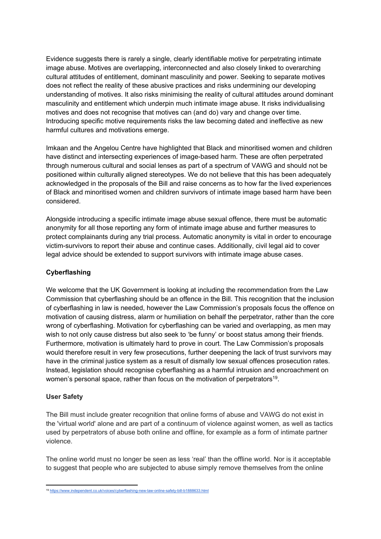Evidence suggests there is rarely a single, clearly identifiable motive for perpetrating intimate image abuse. Motives are overlapping, interconnected and also closely linked to overarching cultural attitudes of entitlement, dominant masculinity and power. Seeking to separate motives does not reflect the reality of these abusive practices and risks undermining our developing understanding of motives. It also risks minimising the reality of cultural attitudes around dominant masculinity and entitlement which underpin much intimate image abuse. It risks individualising motives and does not recognise that motives can (and do) vary and change over time. Introducing specific motive requirements risks the law becoming dated and ineffective as new harmful cultures and motivations emerge.

Imkaan and the Angelou Centre have highlighted that Black and minoritised women and children have distinct and intersecting experiences of image-based harm. These are often perpetrated through numerous cultural and social lenses as part of a spectrum of VAWG and should not be positioned within culturally aligned stereotypes. We do not believe that this has been adequately acknowledged in the proposals of the Bill and raise concerns as to how far the lived experiences of Black and minoritised women and children survivors of intimate image based harm have been considered.

Alongside introducing a specific intimate image abuse sexual offence, there must be automatic anonymity for all those reporting any form of intimate image abuse and further measures to protect complainants during any trial process. Automatic anonymity is vital in order to encourage victim-survivors to report their abuse and continue cases. Additionally, civil legal aid to cover legal advice should be extended to support survivors with intimate image abuse cases.

### **Cyberflashing**

We welcome that the UK Government is looking at including the recommendation from the Law Commission that cyberflashing should be an offence in the Bill. This recognition that the inclusion of cyberflashing in law is needed, however the Law Commission's proposals focus the offence on motivation of causing distress, alarm or humiliation on behalf the perpetrator, rather than the core wrong of cyberflashing. Motivation for cyberflashing can be varied and overlapping, as men may wish to not only cause distress but also seek to 'be funny' or boost status among their friends. Furthermore, motivation is ultimately hard to prove in court. The Law Commission's proposals would therefore result in very few prosecutions, further deepening the lack of trust survivors may have in the criminal justice system as a result of dismally low sexual offences prosecution rates. Instead, legislation should recognise cyberflashing as a harmful intrusion and encroachment on women's personal space, rather than focus on the motivation of perpetrators<sup>19</sup>.

### **User Safety**

The Bill must include greater recognition that online forms of abuse and VAWG do not exist in the 'virtual world' alone and are part of a continuum of violence against women, as well as tactics used by perpetrators of abuse both online and offline, for example as a form of intimate partner violence.

The online world must no longer be seen as less 'real' than the offline world. Nor is it acceptable to suggest that people who are subjected to abuse simply remove themselves from the online

<sup>19</sup> <https://www.independent.co.uk/voices/cyberflashing-new-law-online-safety-bill-b1888633.html>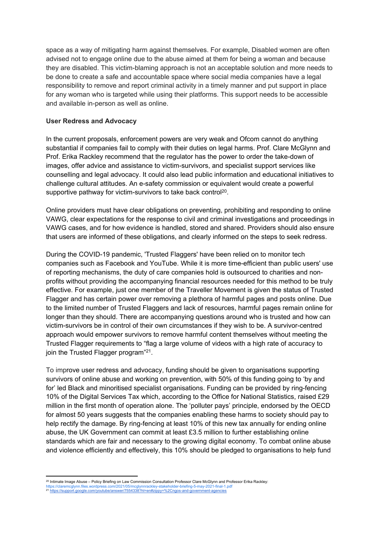space as a way of mitigating harm against themselves. For example, Disabled women are often advised not to engage online due to the abuse aimed at them for being a woman and because they are disabled. This victim-blaming approach is not an acceptable solution and more needs to be done to create a safe and accountable space where social media companies have a legal responsibility to remove and report criminal activity in a timely manner and put support in place for any woman who is targeted while using their platforms. This support needs to be accessible and available in-person as well as online.

#### **User Redress and Advocacy**

In the current proposals, enforcement powers are very weak and Ofcom cannot do anything substantial if companies fail to comply with their duties on legal harms. Prof. Clare McGlynn and Prof. Erika Rackley recommend that the regulator has the power to order the take-down of images, offer advice and assistance to victim-survivors, and specialist support services like counselling and legal advocacy. It could also lead public information and educational initiatives to challenge cultural attitudes. An e-safety commission or equivalent would create a powerful supportive pathway for victim-survivors to take back control<sup>20</sup>.

Online providers must have clear obligations on preventing, prohibiting and responding to online VAWG, clear expectations for the response to civil and criminal investigations and proceedings in VAWG cases, and for how evidence is handled, stored and shared. Providers should also ensure that users are informed of these obligations, and clearly informed on the steps to seek redress.

During the COVID-19 pandemic, 'Trusted Flaggers' have been relied on to monitor tech companies such as Facebook and YouTube. While it is more time-efficient than public users' use of reporting mechanisms, the duty of care companies hold is outsourced to charities and nonprofits without providing the accompanying financial resources needed for this method to be truly effective. For example, just one member of the Traveller Movement is given the status of Trusted Flagger and has certain power over removing a plethora of harmful pages and posts online. Due to the limited number of Trusted Flaggers and lack of resources, harmful pages remain online for longer than they should. There are accompanying questions around who is trusted and how can victim-survivors be in control of their own circumstances if they wish to be. A survivor-centred approach would empower survivors to remove harmful content themselves without meeting the Trusted Flagger requirements to "flag a large volume of videos with a high rate of accuracy to join the Trusted Flagger program"<sup>21</sup>.

To improve user redress and advocacy, funding should be given to organisations supporting survivors of online abuse and working on prevention, with 50% of this funding going to 'by and for' led Black and minoritised specialist organisations. Funding can be provided by ring-fencing 10% of the Digital Services Tax which, according to the Office for National Statistics, raised £29 million in the first month of operation alone. The 'polluter pays' principle, endorsed by the OECD for almost 50 years suggests that the companies enabling these harms to society should pay to help rectify the damage. By ring-fencing at least 10% of this new tax annually for ending online abuse, the UK Government can commit at least £3.5 million to further establishing online standards which are fair and necessary to the growing digital economy. To combat online abuse and violence efficiently and effectively, this 10% should be pledged to organisations to help fund

<sup>20</sup> Intimate Image Abuse – Policy Briefing on Law Commission Consultation Professor Clare McGlynn and Professor Erika Rackley:

<https://claremcglynn.files.wordpress.com/2021/05/mcglynnrackley-stakeholder-briefing-5-may-2021-final-1.pdf><br><sup>21</sup> <https://support.google.com/youtube/answer/7554338?hl=en#zippy=%2Cngos-and-government-agencies>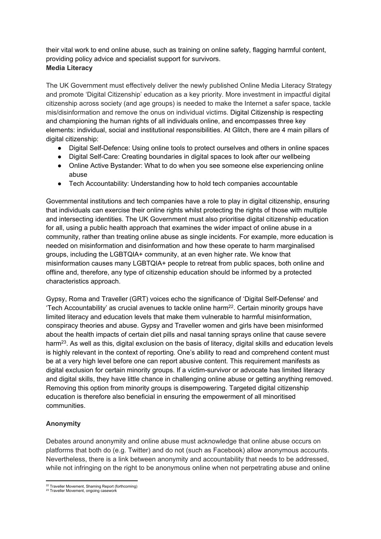their vital work to end online abuse, such as training on online safety, flagging harmful content, providing policy advice and specialist support for survivors. **Media Literacy**

The UK Government must effectively deliver the newly published Online Media Literacy Strategy and promote 'Digital Citizenship' education as a key priority. More investment in impactful digital citizenship across society (and age groups) is needed to make the Internet a safer space, tackle mis/disinformation and remove the onus on individual victims. Digital Citizenship is respecting and championing the human rights of all individuals online, and encompasses three key elements: individual, social and institutional responsibilities. At Glitch, there are 4 main pillars of digital citizenship:

- Digital Self-Defence: Using online tools to protect ourselves and others in online spaces
- Digital Self-Care: Creating boundaries in digital spaces to look after our wellbeing
- Online Active Bystander: What to do when you see someone else experiencing online abuse
- Tech Accountability: Understanding how to hold tech companies accountable

Governmental institutions and tech companies have a role to play in digital citizenship, ensuring that individuals can exercise their online rights whilst protecting the rights of those with multiple and intersecting identities. The UK Government must also prioritise digital citizenship education for all, using a public health approach that examines the wider impact of online abuse in a community, rather than treating online abuse as single incidents. For example, more education is needed on misinformation and disinformation and how these operate to harm marginalised groups, including the LGBTQIA+ community, at an even higher rate. We know that misinformation causes many LGBTQIA+ people to retreat from public spaces, both online and offline and, therefore, any type of citizenship education should be informed by a protected characteristics approach.

Gypsy, Roma and Traveller (GRT) voices echo the significance of 'Digital Self-Defense' and 'Tech Accountability' as crucial avenues to tackle online harm<sup>22</sup>. Certain minority groups have limited literacy and education levels that make them vulnerable to harmful misinformation, conspiracy theories and abuse. Gypsy and Traveller women and girls have been misinformed about the health impacts of certain diet pills and nasal tanning sprays online that cause severe harm<sup>23</sup>. As well as this, digital exclusion on the basis of literacy, digital skills and education levels is highly relevant in the context of reporting. One's ability to read and comprehend content must be at a very high level before one can report abusive content. This requirement manifests as digital exclusion for certain minority groups. If a victim-survivor or advocate has limited literacy and digital skills, they have little chance in challenging online abuse or getting anything removed. Removing this option from minority groups is disempowering. Targeted digital citizenship education is therefore also beneficial in ensuring the empowerment of all minoritised communities.

# **Anonymity**

Debates around anonymity and online abuse must acknowledge that online abuse occurs on platforms that both do (e.g. Twitter) and do not (such as Facebook) allow anonymous accounts. Nevertheless, there is a link between anonymity and accountability that needs to be addressed, while not infringing on the right to be anonymous online when not perpetrating abuse and online

<sup>22</sup> Traveller Movement, Shaming Report (forthcoming)

<sup>23</sup> Traveller Movement, ongoing casework